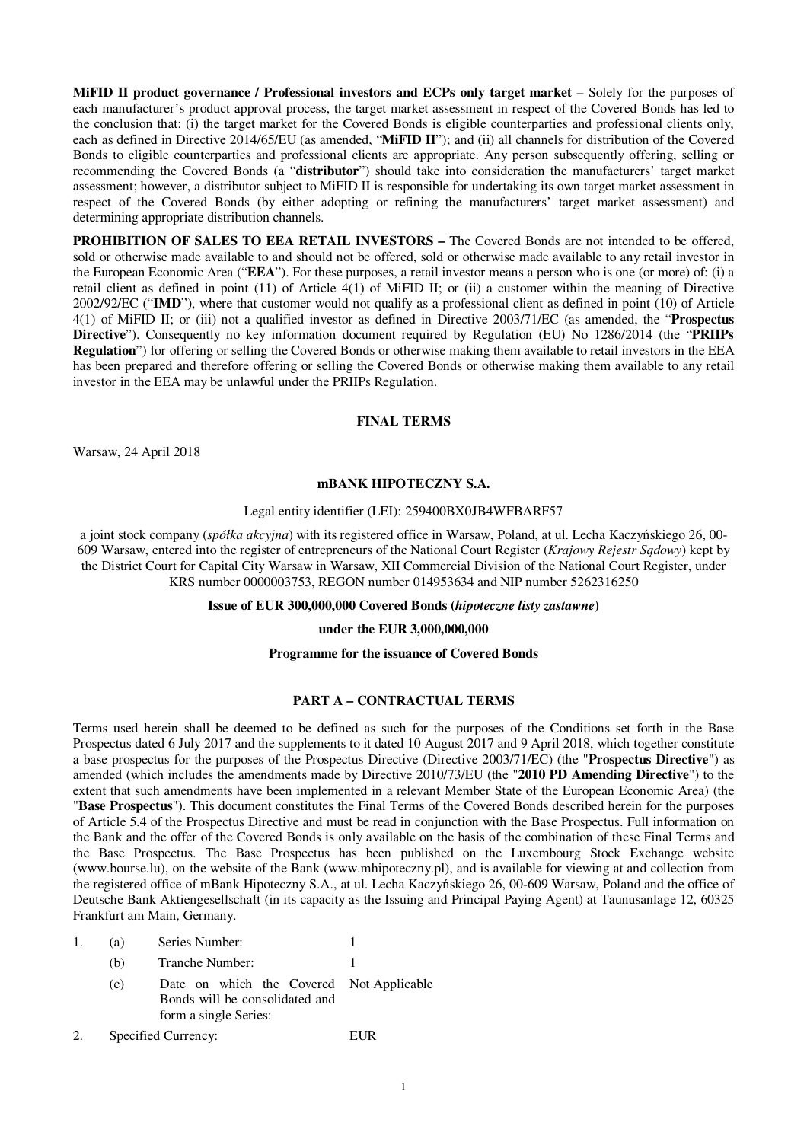**MiFID II product governance / Professional investors and ECPs only target market** – Solely for the purposes of each manufacturer's product approval process, the target market assessment in respect of the Covered Bonds has led to the conclusion that: (i) the target market for the Covered Bonds is eligible counterparties and professional clients only, each as defined in Directive 2014/65/EU (as amended, "**MiFID II**"); and (ii) all channels for distribution of the Covered Bonds to eligible counterparties and professional clients are appropriate. Any person subsequently offering, selling or recommending the Covered Bonds (a "**distributor**") should take into consideration the manufacturers' target market assessment; however, a distributor subject to MiFID II is responsible for undertaking its own target market assessment in respect of the Covered Bonds (by either adopting or refining the manufacturers' target market assessment) and determining appropriate distribution channels.

**PROHIBITION OF SALES TO EEA RETAIL INVESTORS - The Covered Bonds are not intended to be offered,** sold or otherwise made available to and should not be offered, sold or otherwise made available to any retail investor in the European Economic Area ("**EEA**"). For these purposes, a retail investor means a person who is one (or more) of: (i) a retail client as defined in point (11) of Article 4(1) of MiFID II; or (ii) a customer within the meaning of Directive 2002/92/EC ("**IMD**"), where that customer would not qualify as a professional client as defined in point (10) of Article 4(1) of MiFID II; or (iii) not a qualified investor as defined in Directive 2003/71/EC (as amended, the "**Prospectus Directive**"). Consequently no key information document required by Regulation (EU) No 1286/2014 (the "**PRIIPs Regulation**") for offering or selling the Covered Bonds or otherwise making them available to retail investors in the EEA has been prepared and therefore offering or selling the Covered Bonds or otherwise making them available to any retail investor in the EEA may be unlawful under the PRIIPs Regulation.

#### **FINAL TERMS**

Warsaw, 24 April 2018

### **mBANK HIPOTECZNY S.A.**

### Legal entity identifier (LEI): 259400BX0JB4WFBARF57

a joint stock company (*spółka akcyjna*) with its registered office in Warsaw, Poland, at ul. Lecha Kaczyńskiego 26, 00- 609 Warsaw, entered into the register of entrepreneurs of the National Court Register (*Krajowy Rejestr Sądowy*) kept by the District Court for Capital City Warsaw in Warsaw, XII Commercial Division of the National Court Register, under KRS number 0000003753, REGON number 014953634 and NIP number 5262316250

### **Issue of EUR 300,000,000 Covered Bonds (***hipoteczne listy zastawne***)**

### **under the EUR 3,000,000,000**

#### **Programme for the issuance of Covered Bonds**

#### **PART A – CONTRACTUAL TERMS**

Terms used herein shall be deemed to be defined as such for the purposes of the Conditions set forth in the Base Prospectus dated 6 July 2017 and the supplements to it dated 10 August 2017 and 9 April 2018, which together constitute a base prospectus for the purposes of the Prospectus Directive (Directive 2003/71/EC) (the "**Prospectus Directive**") as amended (which includes the amendments made by Directive 2010/73/EU (the "**2010 PD Amending Directive**") to the extent that such amendments have been implemented in a relevant Member State of the European Economic Area) (the "**Base Prospectus**"). This document constitutes the Final Terms of the Covered Bonds described herein for the purposes of Article 5.4 of the Prospectus Directive and must be read in conjunction with the Base Prospectus. Full information on the Bank and the offer of the Covered Bonds is only available on the basis of the combination of these Final Terms and the Base Prospectus. The Base Prospectus has been published on the Luxembourg Stock Exchange website (www.bourse.lu), on the website of the Bank (www.mhipoteczny.pl), and is available for viewing at and collection from the registered office of mBank Hipoteczny S.A., at ul. Lecha Kaczyńskiego 26, 00-609 Warsaw, Poland and the office of Deutsche Bank Aktiengesellschaft (in its capacity as the Issuing and Principal Paying Agent) at Taunusanlage 12, 60325 Frankfurt am Main, Germany.

| Series Number:<br>(a) |
|-----------------------|
|-----------------------|

- (b) Tranche Number: 1 (c) Date on which the Covered Not Applicable Bonds will be consolidated and form a single Series:
- 2. Specified Currency: EUR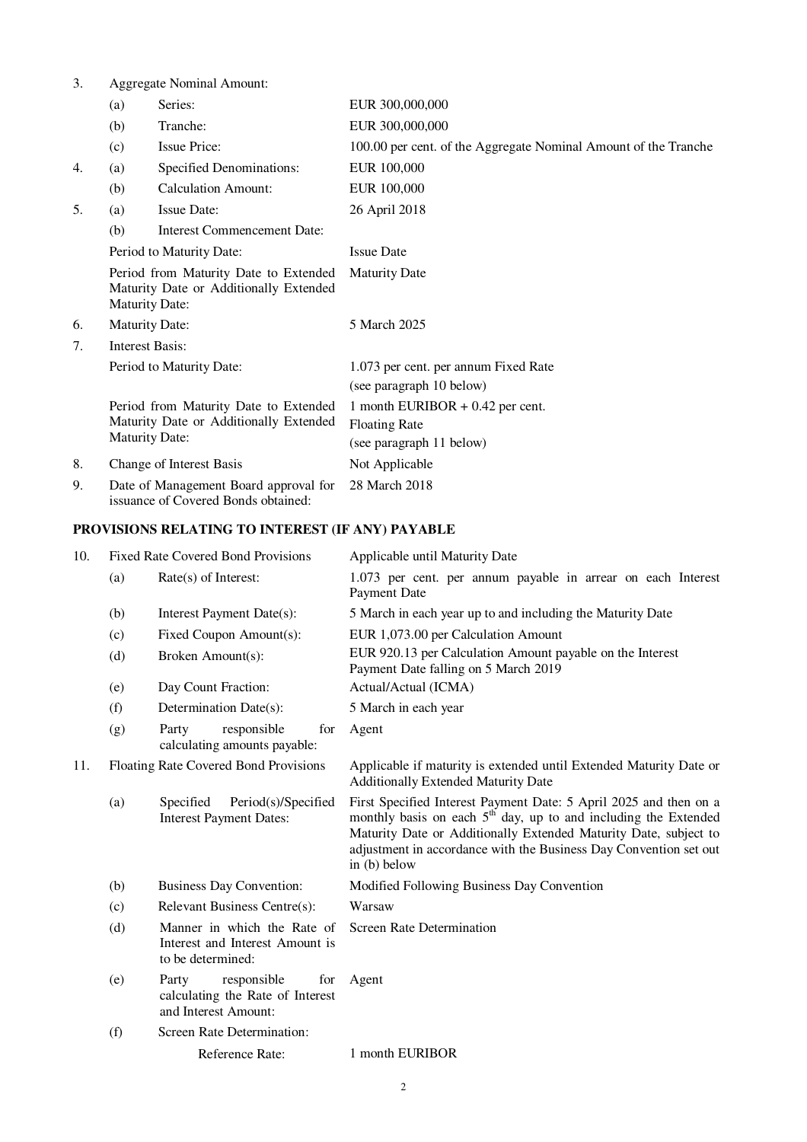3. Aggregate Nominal Amount:

|                                                                                                     | (a)                                                                                                      | Series:                            | EUR 300,000,000                                                                        |  |
|-----------------------------------------------------------------------------------------------------|----------------------------------------------------------------------------------------------------------|------------------------------------|----------------------------------------------------------------------------------------|--|
|                                                                                                     | (b)                                                                                                      | Tranche:                           | EUR 300,000,000                                                                        |  |
|                                                                                                     | (c)                                                                                                      | <b>Issue Price:</b>                | 100.00 per cent. of the Aggregate Nominal Amount of the Tranche                        |  |
| 4.                                                                                                  | (a)                                                                                                      | Specified Denominations:           | EUR 100,000                                                                            |  |
|                                                                                                     | (b)                                                                                                      | <b>Calculation Amount:</b>         | EUR 100,000                                                                            |  |
| 5.                                                                                                  | (a)                                                                                                      | <b>Issue Date:</b>                 | 26 April 2018                                                                          |  |
|                                                                                                     | (b)                                                                                                      | <b>Interest Commencement Date:</b> |                                                                                        |  |
|                                                                                                     | Period to Maturity Date:                                                                                 |                                    | <b>Issue Date</b>                                                                      |  |
|                                                                                                     | Period from Maturity Date to Extended<br>Maturity Date or Additionally Extended<br><b>Maturity Date:</b> |                                    | <b>Maturity Date</b>                                                                   |  |
| 6.                                                                                                  | <b>Maturity Date:</b>                                                                                    |                                    | 5 March 2025                                                                           |  |
| 7.                                                                                                  | <b>Interest Basis:</b>                                                                                   |                                    |                                                                                        |  |
|                                                                                                     | Period to Maturity Date:                                                                                 |                                    | 1.073 per cent. per annum Fixed Rate<br>(see paragraph 10 below)                       |  |
|                                                                                                     | Period from Maturity Date to Extended<br>Maturity Date or Additionally Extended<br><b>Maturity Date:</b> |                                    | 1 month EURIBOR $+$ 0.42 per cent.<br><b>Floating Rate</b><br>(see paragraph 11 below) |  |
| 8.                                                                                                  | Change of Interest Basis                                                                                 |                                    | Not Applicable                                                                         |  |
| 9.<br>28 March 2018<br>Date of Management Board approval for<br>issuance of Covered Bonds obtained: |                                                                                                          |                                    |                                                                                        |  |

# **PROVISIONS RELATING TO INTEREST (IF ANY) PAYABLE**

| 10. | <b>Fixed Rate Covered Bond Provisions</b> |                                                                                         | Applicable until Maturity Date                                                                                                                                                                                                                                                                    |  |
|-----|-------------------------------------------|-----------------------------------------------------------------------------------------|---------------------------------------------------------------------------------------------------------------------------------------------------------------------------------------------------------------------------------------------------------------------------------------------------|--|
|     | (a)                                       | Rate(s) of Interest:                                                                    | 1.073 per cent. per annum payable in arrear on each Interest<br>Payment Date                                                                                                                                                                                                                      |  |
|     | (b)                                       | Interest Payment Date(s):                                                               | 5 March in each year up to and including the Maturity Date                                                                                                                                                                                                                                        |  |
|     | (c)                                       | Fixed Coupon Amount(s):                                                                 | EUR 1,073.00 per Calculation Amount                                                                                                                                                                                                                                                               |  |
|     | (d)                                       | Broken Amount(s):                                                                       | EUR 920.13 per Calculation Amount payable on the Interest<br>Payment Date falling on 5 March 2019                                                                                                                                                                                                 |  |
|     | (e)                                       | Day Count Fraction:                                                                     | Actual/Actual (ICMA)                                                                                                                                                                                                                                                                              |  |
|     | (f)                                       | Determination Date(s):                                                                  | 5 March in each year                                                                                                                                                                                                                                                                              |  |
|     | (g)                                       | responsible<br>Party<br>for<br>calculating amounts payable:                             | Agent                                                                                                                                                                                                                                                                                             |  |
| 11. | Floating Rate Covered Bond Provisions     |                                                                                         | Applicable if maturity is extended until Extended Maturity Date or<br><b>Additionally Extended Maturity Date</b>                                                                                                                                                                                  |  |
|     | (a)                                       | Specified<br>Period(s)/Specified<br><b>Interest Payment Dates:</b>                      | First Specified Interest Payment Date: 5 April 2025 and then on a<br>monthly basis on each $5th$ day, up to and including the Extended<br>Maturity Date or Additionally Extended Maturity Date, subject to<br>adjustment in accordance with the Business Day Convention set out<br>in $(b)$ below |  |
|     | (b)                                       | <b>Business Day Convention:</b>                                                         | Modified Following Business Day Convention                                                                                                                                                                                                                                                        |  |
|     | (c)                                       | <b>Relevant Business Centre(s):</b>                                                     | Warsaw                                                                                                                                                                                                                                                                                            |  |
|     | (d)                                       | Manner in which the Rate of<br>Interest and Interest Amount is<br>to be determined:     | <b>Screen Rate Determination</b>                                                                                                                                                                                                                                                                  |  |
|     | (e)                                       | Party<br>responsible<br>for<br>calculating the Rate of Interest<br>and Interest Amount: | Agent                                                                                                                                                                                                                                                                                             |  |
|     | (f)                                       | Screen Rate Determination:                                                              |                                                                                                                                                                                                                                                                                                   |  |
|     |                                           | Reference Rate:                                                                         | 1 month EURIBOR                                                                                                                                                                                                                                                                                   |  |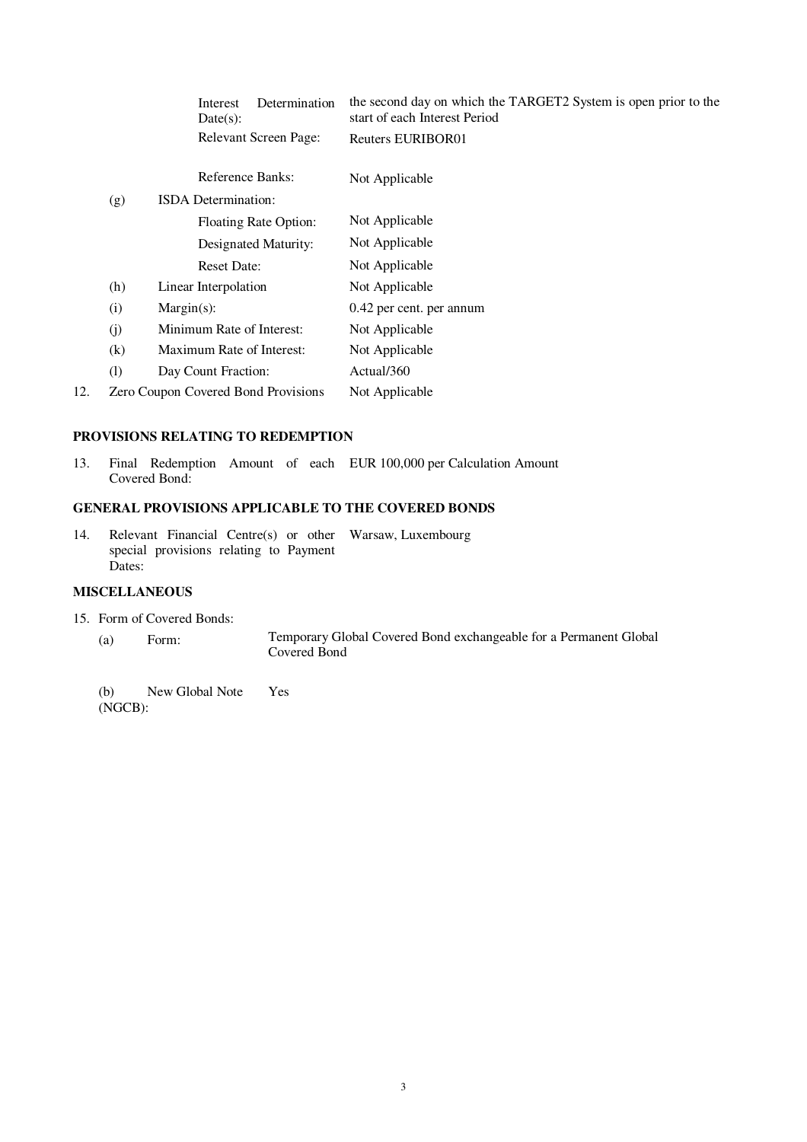|     |     | Determination<br>Interest<br>Date(s):      | the second day on which the TARGET2 System is open prior to the<br>start of each Interest Period |
|-----|-----|--------------------------------------------|--------------------------------------------------------------------------------------------------|
|     |     | Relevant Screen Page:                      | Reuters EURIBOR01                                                                                |
|     |     | Reference Banks:                           | Not Applicable                                                                                   |
|     | (g) | <b>ISDA</b> Determination:                 |                                                                                                  |
|     |     | Floating Rate Option:                      | Not Applicable                                                                                   |
|     |     | Designated Maturity:                       | Not Applicable                                                                                   |
|     |     | <b>Reset Date:</b>                         | Not Applicable                                                                                   |
|     | (h) | Linear Interpolation                       | Not Applicable                                                                                   |
|     | (i) | $Margin(s)$ :                              | 0.42 per cent. per annum                                                                         |
|     | (j) | Minimum Rate of Interest:                  | Not Applicable                                                                                   |
|     | (k) | Maximum Rate of Interest:                  | Not Applicable                                                                                   |
|     | (1) | Day Count Fraction:                        | Actual/360                                                                                       |
| 12. |     | <b>Zero Coupon Covered Bond Provisions</b> | Not Applicable                                                                                   |
|     |     |                                            |                                                                                                  |

### **PROVISIONS RELATING TO REDEMPTION**

13. Final Redemption Amount of each EUR 100,000 per Calculation Amount Covered Bond:

### **GENERAL PROVISIONS APPLICABLE TO THE COVERED BONDS**

14. Relevant Financial Centre(s) or other Warsaw, Luxembourg special provisions relating to Payment Dates:

## **MISCELLANEOUS**

- 15. Form of Covered Bonds:
	- (a) Form: Temporary Global Covered Bond exchangeable for a Permanent Global Covered Bond

(b) New Global Note (NGCB): Yes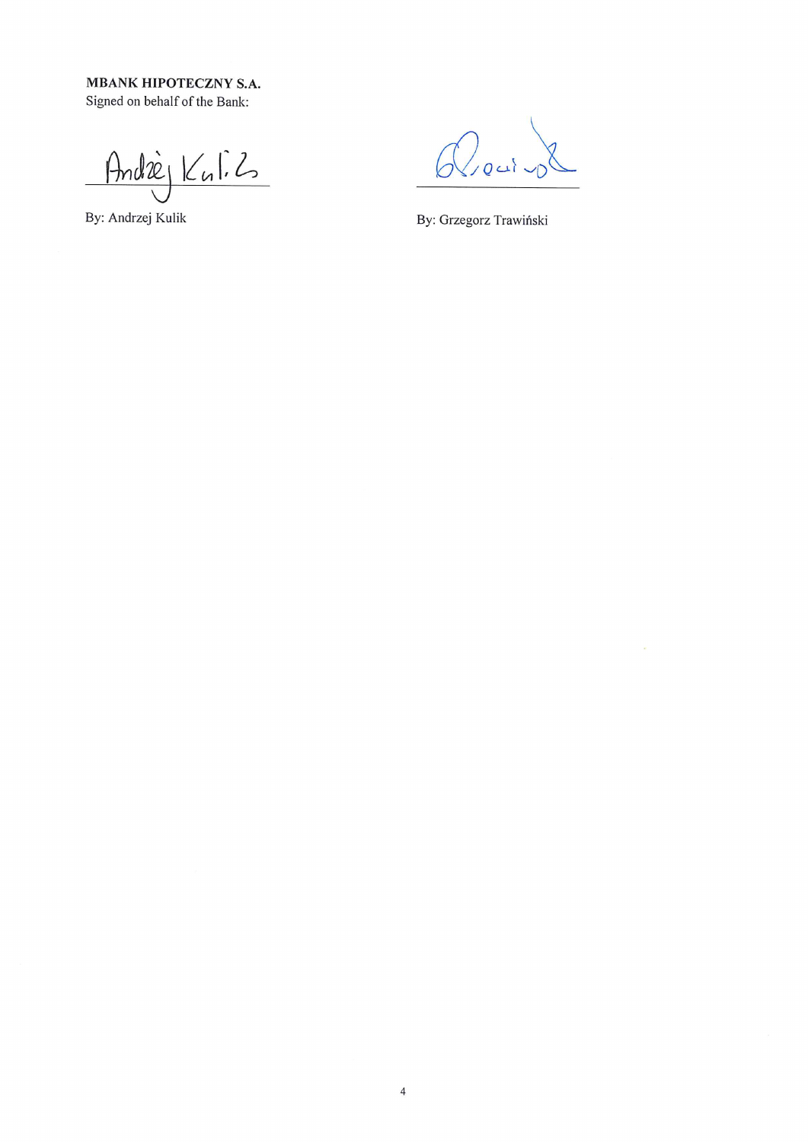**MBANK HIPOTECZNY S.A.** Signed on behalf of the Bank:

André Kuli2

By: Andrzej Kulik

 $Q_{real,0}$ 

By: Grzegorz Trawiński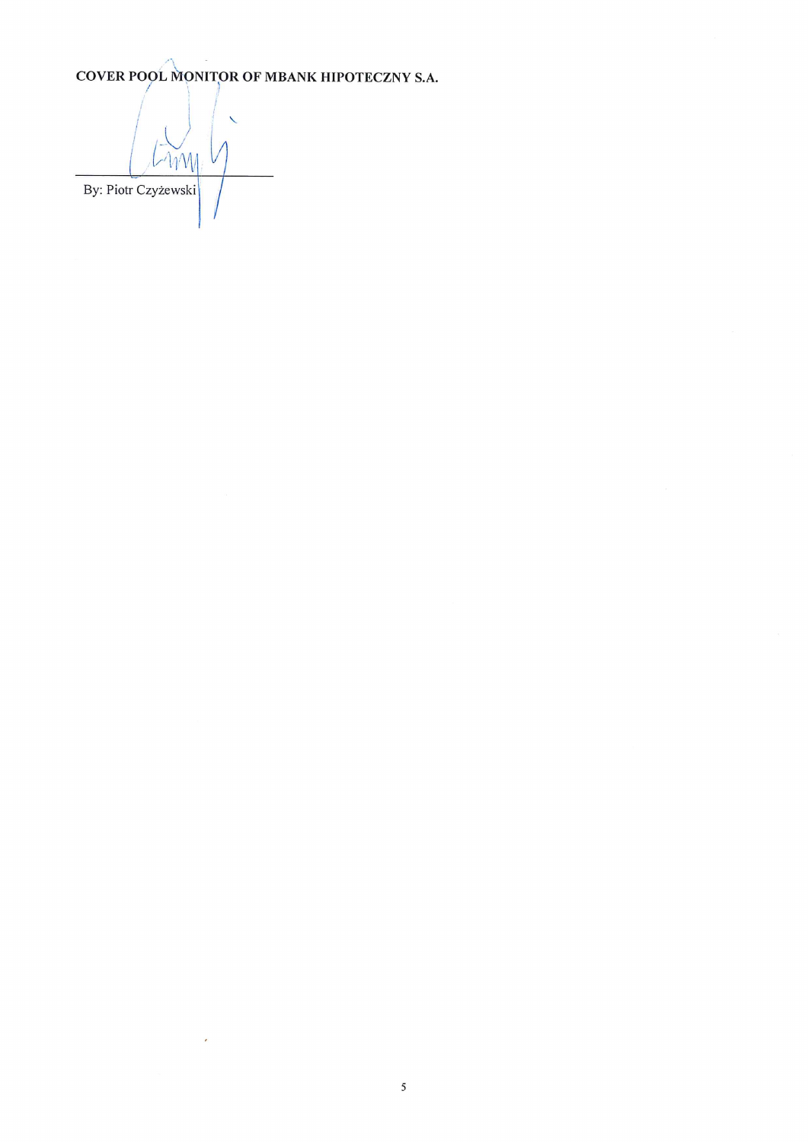COVER POOL MONITOR OF MBANK HIPOTECZNY S.A.

 $\sim$   $\sim$   $\sim$   $\sim$ By: Piotr Czyżewski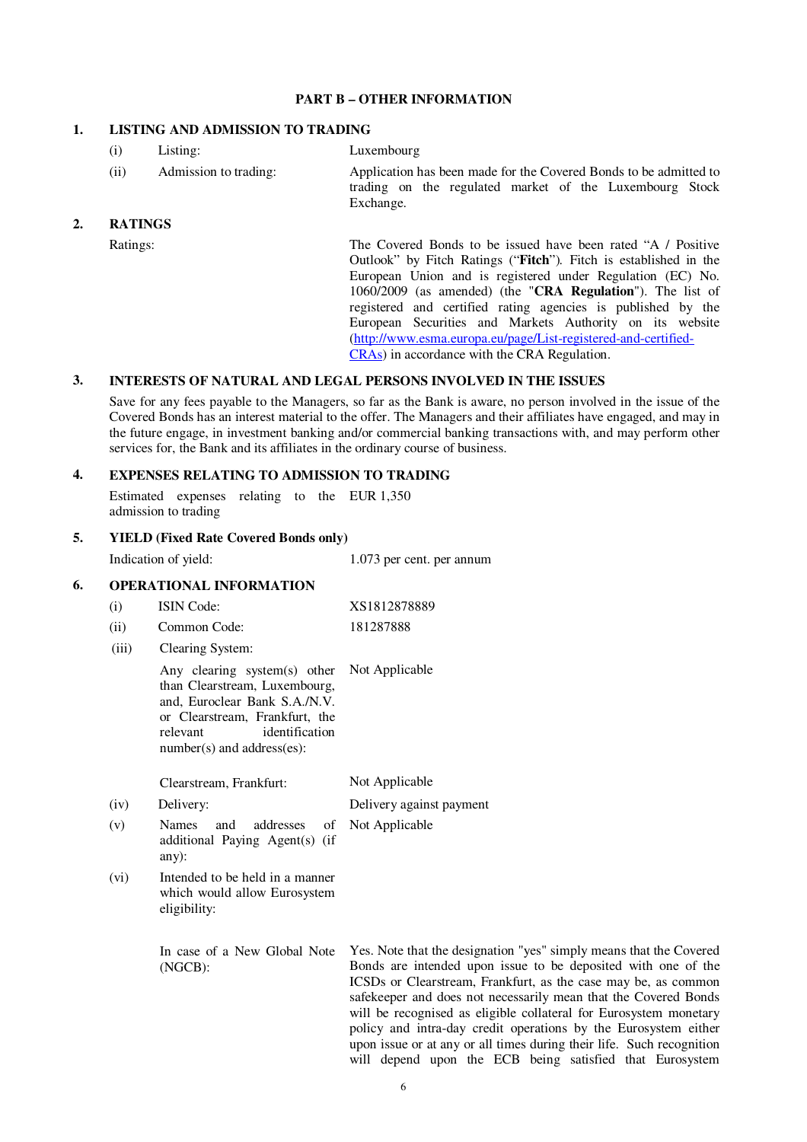### **PART B – OTHER INFORMATION**

### **1. LISTING AND ADMISSION TO TRADING**

(i) Listing: Luxembourg (ii) Admission to trading: Application has been made for the Covered Bonds to be admitted to trading on the regulated market of the Luxembourg Stock

Exchange.

### **2. RATINGS**

Ratings: The Covered Bonds to be issued have been rated "A / Positive" Outlook" by Fitch Ratings ("**Fitch**")*.* Fitch is established in the European Union and is registered under Regulation (EC) No. 1060/2009 (as amended) (the "**CRA Regulation**"). The list of registered and certified rating agencies is published by the European Securities and Markets Authority on its website (http://www.esma.europa.eu/page/List-registered-and-certified-CRAs) in accordance with the CRA Regulation.

### **3. INTERESTS OF NATURAL AND LEGAL PERSONS INVOLVED IN THE ISSUES**

Save for any fees payable to the Managers, so far as the Bank is aware, no person involved in the issue of the Covered Bonds has an interest material to the offer. The Managers and their affiliates have engaged, and may in the future engage, in investment banking and/or commercial banking transactions with, and may perform other services for, the Bank and its affiliates in the ordinary course of business.

### **4. EXPENSES RELATING TO ADMISSION TO TRADING**

Estimated expenses relating to the EUR 1,350 admission to trading

### **5. YIELD (Fixed Rate Covered Bonds only)**

|    | Indication of yield: |                                                                                                                                                                                                | 1.073 per cent. per annum                                                                                                                                                                                                                                                                                                                     |  |  |
|----|----------------------|------------------------------------------------------------------------------------------------------------------------------------------------------------------------------------------------|-----------------------------------------------------------------------------------------------------------------------------------------------------------------------------------------------------------------------------------------------------------------------------------------------------------------------------------------------|--|--|
| 6. |                      | <b>OPERATIONAL INFORMATION</b>                                                                                                                                                                 |                                                                                                                                                                                                                                                                                                                                               |  |  |
|    | (i)                  | <b>ISIN Code:</b>                                                                                                                                                                              | XS1812878889                                                                                                                                                                                                                                                                                                                                  |  |  |
|    | (ii)                 | Common Code:                                                                                                                                                                                   | 181287888                                                                                                                                                                                                                                                                                                                                     |  |  |
|    | (iii)                | Clearing System:                                                                                                                                                                               |                                                                                                                                                                                                                                                                                                                                               |  |  |
|    |                      | Any clearing system(s) other<br>than Clearstream, Luxembourg,<br>and, Euroclear Bank S.A./N.V.<br>or Clearstream, Frankfurt, the<br>identification<br>relevant<br>$number(s)$ and address(es): | Not Applicable                                                                                                                                                                                                                                                                                                                                |  |  |
|    |                      | Clearstream, Frankfurt:                                                                                                                                                                        | Not Applicable                                                                                                                                                                                                                                                                                                                                |  |  |
|    | (iv)                 | Delivery:                                                                                                                                                                                      | Delivery against payment                                                                                                                                                                                                                                                                                                                      |  |  |
|    | (v)                  | addresses<br><b>Names</b><br>and<br>of<br>additional Paying Agent(s) (if<br>$any)$ :                                                                                                           | Not Applicable                                                                                                                                                                                                                                                                                                                                |  |  |
|    | (vi)                 | Intended to be held in a manner<br>which would allow Eurosystem<br>eligibility:                                                                                                                |                                                                                                                                                                                                                                                                                                                                               |  |  |
|    |                      | In case of a New Global Note<br>(NGCB):                                                                                                                                                        | Yes. Note that the designation "yes" simply means that the Covered<br>Bonds are intended upon issue to be deposited with one of the<br>ICSDs or Clearstream, Frankfurt, as the case may be, as common<br>safekeeper and does not necessarily mean that the Covered Bonds<br>will be recognised as eligible collateral for Eurosystem monetary |  |  |

policy and intra-day credit operations by the Eurosystem either upon issue or at any or all times during their life. Such recognition will depend upon the ECB being satisfied that Eurosystem